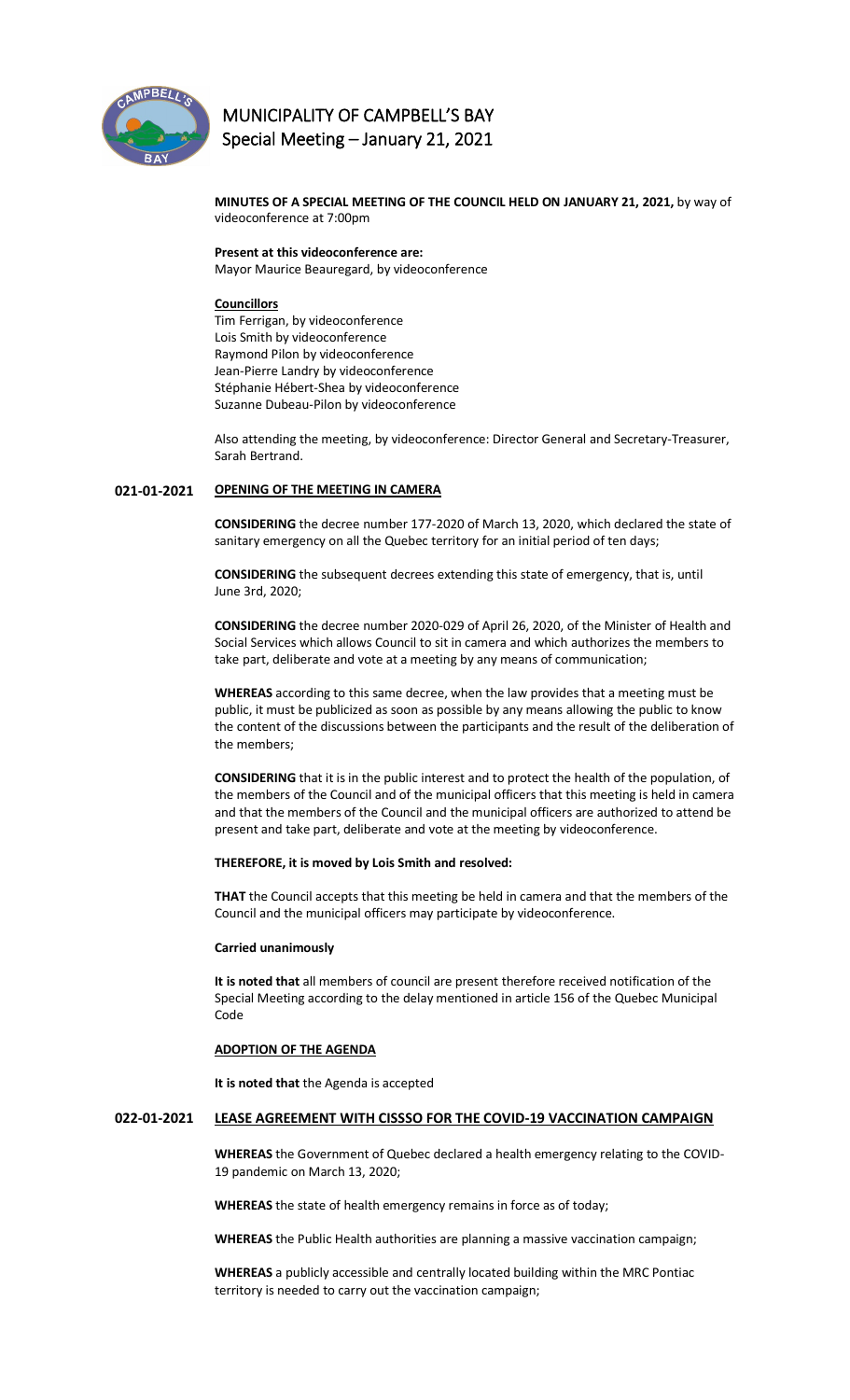

# **MUNICIPALITY OF CAMPBELL'S BAY Special Meeting – January 21, 2021**

**MINUTES OF A SPECIAL MEETING OF THE COUNCIL HELD ON JANUARY 21, 2021,** by way of videoconference at 7:00pm

**Present at this videoconference are:**  Mayor Maurice Beauregard, by videoconference

# **Councillors**

Tim Ferrigan, by videoconference Lois Smith by videoconference Raymond Pilon by videoconference Jean-Pierre Landry by videoconference Stéphanie Hébert-Shea by videoconference Suzanne Dubeau-Pilon by videoconference

Also attending the meeting, by videoconference: Director General and Secretary-Treasurer, Sarah Bertrand.

# **021-01-2021 OPENING OF THE MEETING IN CAMERA**

**CONSIDERING** the decree number 177-2020 of March 13, 2020, which declared the state of sanitary emergency on all the Quebec territory for an initial period of ten days;

**CONSIDERING** the subsequent decrees extending this state of emergency, that is, until June 3rd, 2020;

**CONSIDERING** the decree number 2020-029 of April 26, 2020, of the Minister of Health and Social Services which allows Council to sit in camera and which authorizes the members to take part, deliberate and vote at a meeting by any means of communication;

**WHEREAS** according to this same decree, when the law provides that a meeting must be public, it must be publicized as soon as possible by any means allowing the public to know the content of the discussions between the participants and the result of the deliberation of the members;

**CONSIDERING** that it is in the public interest and to protect the health of the population, of the members of the Council and of the municipal officers that this meeting is held in camera and that the members of the Council and the municipal officers are authorized to attend be present and take part, deliberate and vote at the meeting by videoconference.

### **THEREFORE, it is moved by Lois Smith and resolved:**

**THAT** the Council accepts that this meeting be held in camera and that the members of the Council and the municipal officers may participate by videoconference.

#### **Carried unanimously**

**It is noted that** all members of council are present therefore received notification of the Special Meeting according to the delay mentioned in article 156 of the Quebec Municipal Code

# **ADOPTION OF THE AGENDA**

**It is noted that** the Agenda is accepted

#### **022-01-2021 LEASE AGREEMENT WITH CISSSO FOR THE COVID-19 VACCINATION CAMPAIGN**

**WHEREAS** the Government of Quebec declared a health emergency relating to the COVID-19 pandemic on March 13, 2020;

**WHEREAS** the state of health emergency remains in force as of today;

**WHEREAS** the Public Health authorities are planning a massive vaccination campaign;

**WHEREAS** a publicly accessible and centrally located building within the MRC Pontiac territory is needed to carry out the vaccination campaign;